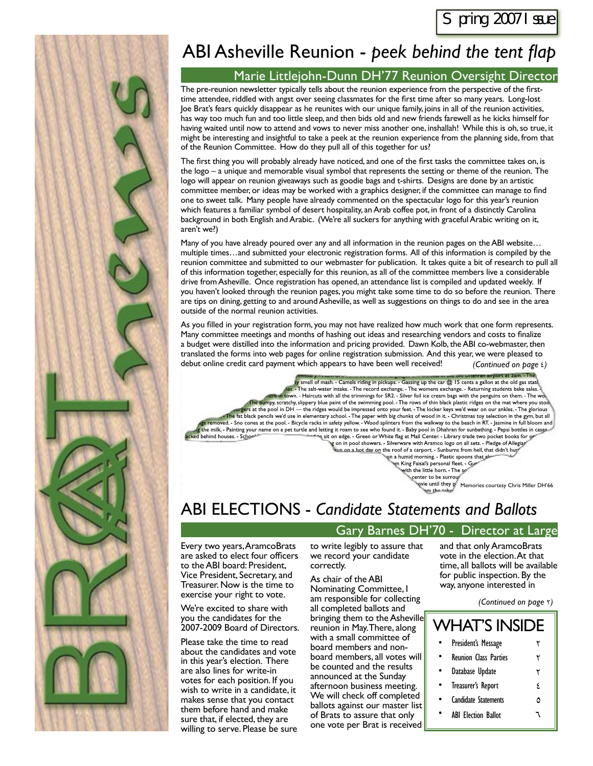

## ABI Asheville Reunion - peek behind the tent flap

#### Marie Littlejohn-Dunn DH'77 Reunion Oversight Director

The pre-reunion newsletter typically tells about the reunion experience from the perspective of the firsttime attendee, riddled with angst over seeing classmates for the first time after so many years. Long-lost Joe Brat's fears quickly disappear as he reunites with our unique family, joins in all of the reunion activities, has way too much fun and too little sleep, and then bids old and new friends farewell as he kicks himself for having waited until now to attend and vows to never miss another one, inshallah! While this is oh, so true, it might be interesting and insightful to take a peek at the reunion experience from the planning side, from that of the Reunion Committee. How do they pull all of this together for us?

The first thing you will probably already have noticed, and one of the first tasks the committee takes on, is the logo – a unique and memorable visual symbol that represents the setting or theme of the reunion. The logo will appear on reunion giveaways such as goodie bags and t-shirts. Designs are done by an artistic committee member, or ideas may be worked with a graphics designer, if the committee can manage to find one to sweet talk. Many people have already commented on the spectacular logo for this year's reunion which features a familiar symbol of desert hospitality, an Arab coffee pot, in front of a distinctly Carolina background in both English and Arabic. (We're all suckers for anything with graceful Arabic writing on it, aren't we?)

Many of you have already poured over any and all information in the reunion pages on the ABI website… multiple times…and submitted your electronic registration forms. All of this information is compiled by the reunion committee and submitted to our webmaster for publication. It takes quite a bit of research to pull all of this information together, especially for this reunion, as all of the committee members live a considerable drive from Asheville. Once registration has opened, an attendance list is compiled and updated weekly. If you haven't looked through the reunion pages, you might take some time to do so before the reunion. There are tips on dining, getting to and around Asheville, as well as suggestions on things to do and see in the area outside of the normal reunion activities.

As you filled in your registration form, you may not have realized how much work that one form represents. Many committee meetings and months of hashing out ideas and researching vendors and costs to finalize a budget were distilled into the information and pricing provided. Dawn Kolb, the ABI co-webmaster, then translated the forms into web pages for online registration submission. And this year, we were pleased to debut online credit card payment which appears to have been well received! *(Continued on page* 4*)*

rumssar 7. • 1 1911) or e station of the stationary and content and content and content of the station. The pa<br>Lay smell of mash. - Camels riding in pickups. - Gassing up the car @ 15 cents a gallon at the old gas station jy smell of mash. - Camels riding in pickups. - Gassing up the car @ 15 cents a gallon at the old gas statil.<br>• ies. - The salt-water intake. - The record exchange. - The womens exchange. - Returning students bake sales.<br> . The bumpy, scratchy, slippery blue paint of the swimming pool. - The rows of thin black plastic ridges on the mat where you stool. - "<br>, wargers at the pool in DH — the ridges would be impressed onto your feet. - The lo The fat black pencils we'd use in elementary school. - The paper with big chunks of wood in it. - Christmas toy selection in the gym, but all ags removed. - Sno cones at the pool. - Bicycle racks in safety yellow. - Wood splinters from the walkway to the beach in RT. - Jasmine in full bloom and المسرع والمستور المسلم والمسلم والمسلم والمسلم والمسلم والمسلم والم "s on in pool showers. - Silverware with Aramco logo on all sets. - Pledge of Allegiaps"<br>"s<u>un on a hot day on</u> the roof of a carport. - Sunburns from hell, that didn't hure" Find houses. School behind houses. School behind houses. School behind houses. School behind houses. School warm, the gravit of the gravit of the gravit warm of the gravit of the gravit of the gravit warm of the control of

son a humid morning. - Plastic spoons that alw " Ym King Faisal's personal fleet. - G<mark>ur</mark><br>" with the little horn. - The so **Phoener to be surrounded share at 12** 

e until they prime until they prime and the prime scourtesy Chris Miller DH'66"<br>سیم the schor

## ABI ELECTIONS - *Candidate Statements and Ballots*

### Gary Barnes DH'70 - Director at Large

Every two years, AramcoBrats are asked to elect four officers to the ABI board: President, Vice President, Secretary, and Treasurer. Now is the time to exercise your right to vote.

We're excited to share with you the candidates for the 2007-2009 Board of Directors.

Please take the time to read about the candidates and vote in this year's election. There are also lines for write-in votes for each position. If you wish to write in a candidate, it makes sense that you contact them before hand and make sure that, if elected, they are willing to serve. Please be sure

to write legibly to assure that we record your candidate correctly.

As chair of the ABI Nominating Committee, I am responsible for collecting all completed ballots and bringing them to the Asheville reunion in May. There, along with a small committee of board members and nonboard members, all votes will be counted and the results announced at the Sunday afternoon business meeting. We will check off completed ballots against our master list of Brats to assure that only one vote per Brat is received and that only AramcoBrats vote in the election. At that time, all ballots will be available for public inspection. By the way, anyone interested in

*(Continued on page* 2*)*

| <b>WHAT'S INSIDE</b> |                              |    |  |  |
|----------------------|------------------------------|----|--|--|
|                      | President's Message          |    |  |  |
|                      | <b>Reunion Class Parties</b> | ٢  |  |  |
|                      | Database Update              | ۲  |  |  |
|                      | Treasurer's Report           | ۶. |  |  |
|                      | <b>Candidate Statements</b>  | Δ  |  |  |
|                      | <b>ABI Election Ballot</b>   |    |  |  |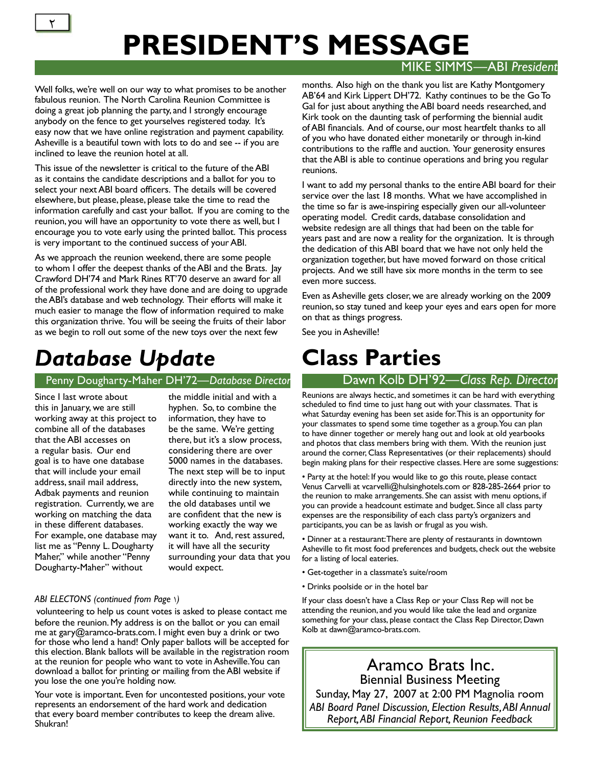#### MIKE SIMMS—ABI *President*

Well folks, we're well on our way to what promises to be another fabulous reunion. The North Carolina Reunion Committee is doing a great job planning the party, and I strongly encourage anybody on the fence to get yourselves registered today. It's easy now that we have online registration and payment capability. Asheville is a beautiful town with lots to do and see -- if you are inclined to leave the reunion hotel at all.

This issue of the newsletter is critical to the future of the ABI as it contains the candidate descriptions and a ballot for you to select your next ABI board officers. The details will be covered elsewhere, but please, please, please take the time to read the information carefully and cast your ballot. If you are coming to the reunion, you will have an opportunity to vote there as well, but I encourage you to vote early using the printed ballot. This process is very important to the continued success of your ABI.

As we approach the reunion weekend, there are some people to whom I offer the deepest thanks of the ABI and the Brats. Jay Crawford DH'74 and Mark Rines RT'70 deserve an award for all of the professional work they have done and are doing to upgrade the ABI's database and web technology. Their efforts will make it much easier to manage the flow of information required to make this organization thrive. You will be seeing the fruits of their labor as we begin to roll out some of the new toys over the next few

# *Database Update*

#### Penny Dougharty-Maher DH'72—Database Director Dawn Kolb DH'92—Class Rep. Director

Since I last wrote about this in January, we are still working away at this project to combine all of the databases that the ABI accesses on a regular basis. Our end goal is to have one database that will include your email address, snail mail address, Adbak payments and reunion registration. Currently, we are working on matching the data in these different databases. For example, one database may list me as "Penny L. Dougharty Maher," while another "Penny Dougharty-Maher" without

the middle initial and with a hyphen. So, to combine the information, they have to be the same. We're getting there, but it's a slow process, considering there are over 5000 names in the databases. The next step will be to input directly into the new system, while continuing to maintain the old databases until we are confident that the new is working exactly the way we want it to. And, rest assured, it will have all the security surrounding your data that you would expect.

#### *ABI ELECTONS (continued from Page* 1*)*

volunteering to help us count votes is asked to please contact me before the reunion. My address is on the ballot or you can email me at gary@aramco-brats.com. I might even buy a drink or two for those who lend a hand! Only paper ballots will be accepted for this election. Blank ballots will be available in the registration room at the reunion for people who want to vote in Asheville. You can download a ballot for printing or mailing from the ABI website if you lose the one you're holding now.

Your vote is important. Even for uncontested positions, your vote represents an endorsement of the hard work and dedication that every board member contributes to keep the dream alive. Shukran!

months. Also high on the thank you list are Kathy Montgomery AB'64 and Kirk Lippert DH'72. Kathy continues to be the Go To Gal for just about anything the ABI board needs researched, and Kirk took on the daunting task of performing the biennial audit of ABI financials. And of course, our most heartfelt thanks to all of you who have donated either monetarily or through in-kind contributions to the raffle and auction. Your generosity ensures that the ABI is able to continue operations and bring you regular reunions.

I want to add my personal thanks to the entire ABI board for their service over the last 18 months. What we have accomplished in the time so far is awe-inspiring especially given our all-volunteer operating model. Credit cards, database consolidation and website redesign are all things that had been on the table for years past and are now a reality for the organization. It is through the dedication of this ABI board that we have not only held the organization together, but have moved forward on those critical projects. And we still have six more months in the term to see even more success.

Even as Asheville gets closer, we are already working on the 2009 reunion, so stay tuned and keep your eyes and ears open for more on that as things progress.

See you in Asheville!

# **Class Parties**

Reunions are always hectic, and sometimes it can be hard with everything scheduled to find time to just hang out with your classmates. That is what Saturday evening has been set aside for. This is an opportunity for your classmates to spend some time together as a group. You can plan to have dinner together or merely hang out and look at old yearbooks and photos that class members bring with them. With the reunion just around the corner, Class Representatives (or their replacements) should begin making plans for their respective classes. Here are some suggestions:

• Party at the hotel: If you would like to go this route, please contact Venus Carvelli at vcarvelli@hulsinghotels.com or 828-285-2664 prior to the reunion to make arrangements. She can assist with menu options, if you can provide a headcount estimate and budget. Since all class party expenses are the responsibility of each class party's organizers and participants, you can be as lavish or frugal as you wish.

• Dinner at a restaurant: There are plenty of restaurants in downtown Asheville to fit most food preferences and budgets, check out the website for a listing of local eateries.

- Get-together in a classmate's suite/room
- Drinks poolside or in the hotel bar

If your class doesn't have a Class Rep or your Class Rep will not be attending the reunion, and you would like take the lead and organize something for your class, please contact the Class Rep Director, Dawn Kolb at dawn@aramco-brats.com.

## Aramco Brats Inc. Biennial Business Meeting

Sunday, May 27, 2007 at 2:00 PM Magnolia room *ABI Board Panel Discussion, Election Results, ABI Annual Report, ABI Financial Report, Reunion Feedback*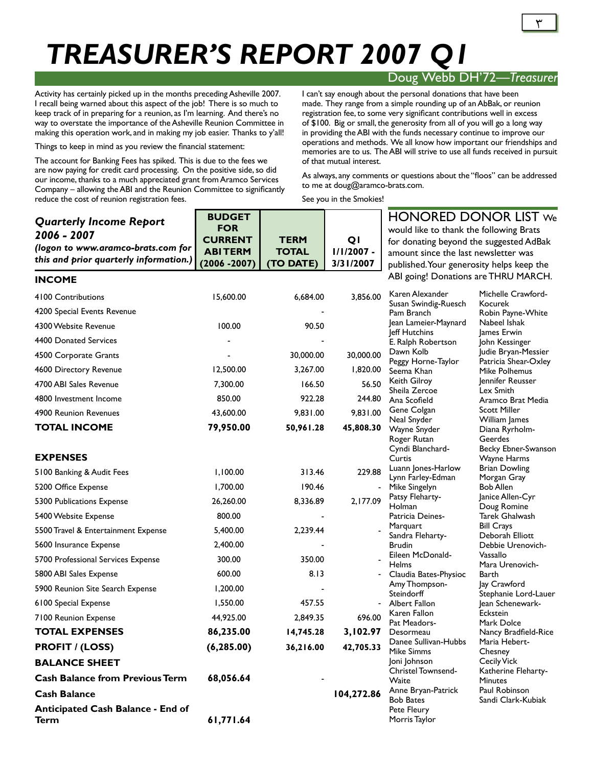# *TREASURER'S REPORT 2007 Q1*

### Doug Webb DH'72*—Treasurer*

Activity has certainly picked up in the months preceding Asheville 2007. I recall being warned about this aspect of the job! There is so much to keep track of in preparing for a reunion, as I'm learning. And there's no way to overstate the importance of the Asheville Reunion Committee in making this operation work, and in making my job easier. Thanks to y'all!

Things to keep in mind as you review the financial statement:

The account for Banking Fees has spiked. This is due to the fees we are now paying for credit card processing. On the positive side, so did our income, thanks to a much appreciated grant from Aramco Services Company – allowing the ABI and the Reunion Committee to significantly reduce the cost of reunion registration fees.

I can't say enough about the personal donations that have been made. They range from a simple rounding up of an AbBak, or reunion registration fee, to some very significant contributions well in excess of \$100. Big or small, the generosity from all of you will go a long way in providing the ABI with the funds necessary continue to improve our operations and methods. We all know how important our friendships and memories are to us. The ABI will strive to use all funds received in pursuit of that mutual interest.

As always, any comments or questions about the "floos" can be addressed to me at doug@aramco-brats.com.

See you in the Smokies!

| <b>Quarterly Income Report</b><br>2006 - 2007<br>(logon to www.aramco-brats.com for<br>this and prior quarterly information.) | <b>BUDGET</b><br><b>FOR</b><br><b>CURRENT</b><br><b>ABITERM</b><br>$(2006 - 2007)$ | <b>TERM</b><br><b>TOTAL</b><br>(TO DATE) | QI<br>$1/1/2007 -$<br>3/31/2007 | <b>HONORED DONOR LIST We</b><br>would like to thank the following Brats<br>for donating beyond the suggested AdBak<br>amount since the last newsletter was<br>published. Your generosity helps keep the |                                            |
|-------------------------------------------------------------------------------------------------------------------------------|------------------------------------------------------------------------------------|------------------------------------------|---------------------------------|---------------------------------------------------------------------------------------------------------------------------------------------------------------------------------------------------------|--------------------------------------------|
| <b>INCOME</b>                                                                                                                 |                                                                                    |                                          |                                 | ABI going! Donations are THRU MARCH.                                                                                                                                                                    |                                            |
| 4100 Contributions                                                                                                            | 15,600.00                                                                          | 6,684.00                                 | 3,856.00                        | Karen Alexander                                                                                                                                                                                         | Michelle Crawford-                         |
| 4200 Special Events Revenue                                                                                                   |                                                                                    |                                          |                                 | Susan Swindig-Ruesch<br>Pam Branch                                                                                                                                                                      | Kocurek<br>Robin Payne-White               |
| 4300 Website Revenue                                                                                                          | 100.00                                                                             | 90.50                                    |                                 | Jean Lameier-Maynard                                                                                                                                                                                    | Nabeel Ishak                               |
| 4400 Donated Services                                                                                                         |                                                                                    |                                          |                                 | Jeff Hutchins<br>E. Ralph Robertson                                                                                                                                                                     | James Erwin<br>John Kessinger              |
| 4500 Corporate Grants                                                                                                         |                                                                                    | 30,000.00                                | 30,000.00                       | Dawn Kolb                                                                                                                                                                                               | Judie Bryan-Messier                        |
| 4600 Directory Revenue                                                                                                        | 12,500.00                                                                          | 3,267.00                                 | 1,820.00                        | Peggy Horne-Taylor<br>Seema Khan                                                                                                                                                                        | Patricia Shear-Oxley<br>Mike Polhemus      |
| 4700 ABI Sales Revenue                                                                                                        | 7,300.00                                                                           | 166.50                                   | 56.50                           | Keith Gilroy                                                                                                                                                                                            | Jennifer Reusser                           |
| 4800 Investment Income                                                                                                        | 850.00                                                                             | 922.28                                   | 244.80                          | Sheila Zercoe<br>Ana Scofield                                                                                                                                                                           | Lex Smith<br>Aramco Brat Media             |
| 4900 Reunion Revenues                                                                                                         | 43,600.00                                                                          | 9,831.00                                 | 9,831.00                        | Gene Colgan                                                                                                                                                                                             | <b>Scott Miller</b>                        |
| <b>TOTAL INCOME</b>                                                                                                           | 79,950.00                                                                          | 50,961.28                                | 45,808.30                       | Neal Snyder<br>Wayne Snyder<br>Roger Rutan                                                                                                                                                              | William James<br>Diana Ryrholm-<br>Geerdes |
| <b>EXPENSES</b>                                                                                                               |                                                                                    |                                          |                                 | Cyndi Blanchard-<br>Curtis                                                                                                                                                                              | Becky Ebner-Swanson<br>Wayne Harms         |
| 5100 Banking & Audit Fees                                                                                                     | 1,100.00                                                                           | 313.46                                   | 229.88                          | Luann Jones-Harlow                                                                                                                                                                                      | <b>Brian Dowling</b>                       |
| 5200 Office Expense                                                                                                           | 1,700.00                                                                           | 190.46                                   |                                 | Lynn Farley-Edman<br>Mike Singelyn                                                                                                                                                                      | Morgan Gray<br><b>Bob Allen</b>            |
|                                                                                                                               |                                                                                    | 8,336.89                                 | 2,177.09                        | Patsy Fleharty-                                                                                                                                                                                         | Janice Allen-Cyr                           |
| 5300 Publications Expense                                                                                                     | 26,260.00                                                                          |                                          |                                 | Holman                                                                                                                                                                                                  | Doug Romine                                |
| 5400 Website Expense                                                                                                          | 800.00                                                                             |                                          |                                 | Patricia Deines-<br>Marquart                                                                                                                                                                            | Tarek Ghalwash<br><b>Bill Crays</b>        |
| 5500 Travel & Entertainment Expense                                                                                           | 5,400.00                                                                           | 2,239.44                                 |                                 | Sandra Fleharty-                                                                                                                                                                                        | Deborah Elliott                            |
| 5600 Insurance Expense                                                                                                        | 2,400.00                                                                           |                                          |                                 | <b>Brudin</b><br>Eileen McDonald-                                                                                                                                                                       | Debbie Urenovich-<br>Vassallo              |
| 5700 Professional Services Expense                                                                                            | 300.00                                                                             | 350.00                                   |                                 | <b>Helms</b>                                                                                                                                                                                            | Mara Urenovich-                            |
| 5800 ABI Sales Expense                                                                                                        | 600.00                                                                             | 8.13                                     |                                 | Claudia Bates-Physioc                                                                                                                                                                                   | Barth                                      |
| 5900 Reunion Site Search Expense                                                                                              | 1,200.00                                                                           |                                          |                                 | Amy Thompson-<br>Steindorff                                                                                                                                                                             | Jay Crawford<br>Stephanie Lord-Lauer       |
| 6100 Special Expense                                                                                                          | 1,550.00                                                                           | 457.55                                   |                                 | Albert Fallon                                                                                                                                                                                           | Jean Schenewark-                           |
| 7100 Reunion Expense                                                                                                          | 44,925.00                                                                          | 2,849.35                                 | 696.00                          | Karen Fallon<br>Pat Meadors-                                                                                                                                                                            | Eckstein<br>Mark Dolce                     |
| <b>TOTAL EXPENSES</b>                                                                                                         | 86,235.00                                                                          | 14,745.28                                | 3,102.97                        | Desormeau                                                                                                                                                                                               | Nancy Bradfield-Rice                       |
| <b>PROFIT / (LOSS)</b>                                                                                                        | (6, 285.00)                                                                        | 36,216.00                                | 42,705.33                       | Danee Sullivan-Hubbs<br><b>Mike Simms</b>                                                                                                                                                               | Maria Hebert-<br>Chesney                   |
| <b>BALANCE SHEET</b>                                                                                                          |                                                                                    |                                          |                                 | Joni Johnson                                                                                                                                                                                            | <b>Cecily Vick</b>                         |
| <b>Cash Balance from Previous Term</b>                                                                                        | 68,056.64                                                                          |                                          |                                 | Christel Townsend-<br>Waite                                                                                                                                                                             | Katherine Fleharty-<br><b>Minutes</b>      |
| <b>Cash Balance</b>                                                                                                           |                                                                                    |                                          | 104,272.86                      | Anne Bryan-Patrick                                                                                                                                                                                      | Paul Robinson                              |
| Anticipated Cash Balance - End of<br>Term                                                                                     | 61,771.64                                                                          |                                          |                                 | <b>Bob Bates</b><br>Pete Fleury<br>Morris Taylor                                                                                                                                                        | Sandi Clark-Kubiak                         |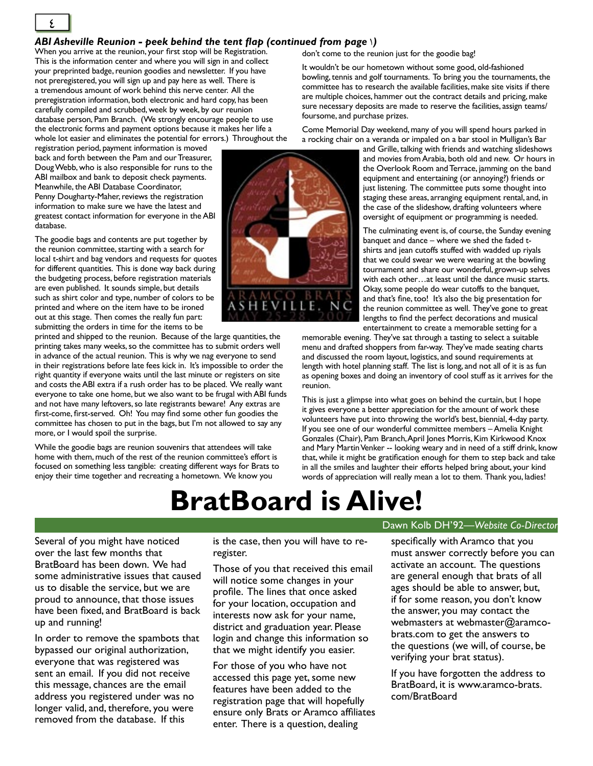#### *ABI Asheville Reunion - peek behind the tent fl ap (continued from page* 1*)*

When you arrive at the reunion, your first stop will be Registration. This is the information center and where you will sign in and collect your preprinted badge, reunion goodies and newsletter. If you have not preregistered, you will sign up and pay here as well. There is a tremendous amount of work behind this nerve center. All the preregistration information, both electronic and hard copy, has been carefully compiled and scrubbed, week by week, by our reunion database person, Pam Branch. (We strongly encourage people to use the electronic forms and payment options because it makes her life a whole lot easier and eliminates the potential for errors.) Throughout the

registration period, payment information is moved back and forth between the Pam and our Treasurer, Doug Webb, who is also responsible for runs to the ABI mailbox and bank to deposit check payments. Meanwhile, the ABI Database Coordinator, Penny Dougharty-Maher, reviews the registration information to make sure we have the latest and greatest contact information for everyone in the ABI database.

The goodie bags and contents are put together by the reunion committee, starting with a search for local t-shirt and bag vendors and requests for quotes for different quantities. This is done way back during the budgeting process, before registration materials are even published. It sounds simple, but details such as shirt color and type, number of colors to be printed and where on the item have to be ironed out at this stage. Then comes the really fun part: submitting the orders in time for the items to be

printed and shipped to the reunion. Because of the large quantities, the printing takes many weeks, so the committee has to submit orders well in advance of the actual reunion. This is why we nag everyone to send in their registrations before late fees kick in. It's impossible to order the right quantity if everyone waits until the last minute or registers on site and costs the ABI extra if a rush order has to be placed. We really want everyone to take one home, but we also want to be frugal with ABI funds and not have many leftovers, so late registrants beware! Any extras are first-come, first-served. Oh! You may find some other fun goodies the committee has chosen to put in the bags, but I'm not allowed to say any more, or I would spoil the surprise.

While the goodie bags are reunion souvenirs that attendees will take home with them, much of the rest of the reunion committee's effort is focused on something less tangible: creating different ways for Brats to enjoy their time together and recreating a hometown. We know you

don't come to the reunion just for the goodie bag!

It wouldn't be our hometown without some good, old-fashioned bowling, tennis and golf tournaments. To bring you the tournaments, the committee has to research the available facilities, make site visits if there are multiple choices, hammer out the contract details and pricing, make sure necessary deposits are made to reserve the facilities, assign teams/ foursome, and purchase prizes.

Come Memorial Day weekend, many of you will spend hours parked in a rocking chair on a veranda or impaled on a bar stool in Mulligan's Bar

> and Grille, talking with friends and watching slideshows and movies from Arabia, both old and new. Or hours in the Overlook Room and Terrace, jamming on the band equipment and entertaining (or annoying?) friends or just listening. The committee puts some thought into staging these areas, arranging equipment rental, and, in the case of the slideshow, drafting volunteers where oversight of equipment or programming is needed.

The culminating event is, of course, the Sunday evening banquet and dance – where we shed the faded tshirts and jean cutoffs stuffed with wadded up riyals that we could swear we were wearing at the bowling tournament and share our wonderful, grown-up selves with each other…at least until the dance music starts. Okay, some people do wear cutoffs to the banquet, and that's fine, too! It's also the big presentation for the reunion committee as well. They've gone to great lengths to find the perfect decorations and musical entertainment to create a memorable setting for a

memorable evening. They've sat through a tasting to select a suitable menu and drafted shoppers from far-way. They've made seating charts and discussed the room layout, logistics, and sound requirements at length with hotel planning staff. The list is long, and not all of it is as fun as opening boxes and doing an inventory of cool stuff as it arrives for the reunion.

This is just a glimpse into what goes on behind the curtain, but I hope it gives everyone a better appreciation for the amount of work these volunteers have put into throwing the world's best, biennial, 4-day party. If you see one of our wonderful committee members – Amelia Knight Gonzales (Chair), Pam Branch, April Jones Morris, Kim Kirkwood Knox and Mary Martin Venker -- looking weary and in need of a stiff drink, know that, while it might be gratification enough for them to step back and take in all the smiles and laughter their efforts helped bring about, your kind words of appreciation will really mean a lot to them. Thank you, ladies!

# **BratBoard is Alive!**

Several of you might have noticed over the last few months that BratBoard has been down. We had some administrative issues that caused us to disable the service, but we are proud to announce, that those issues have been fixed, and BratBoard is back up and running!

In order to remove the spambots that bypassed our original authorization, everyone that was registered was sent an email. If you did not receive this message, chances are the email address you registered under was no longer valid, and, therefore, you were removed from the database. If this

is the case, then you will have to reregister.

Those of you that received this email will notice some changes in your profile. The lines that once asked for your location, occupation and interests now ask for your name, district and graduation year. Please login and change this information so that we might identify you easier.

For those of you who have not accessed this page yet, some new features have been added to the registration page that will hopefully ensure only Brats or Aramco affiliates enter. There is a question, dealing

#### Dawn Kolb DH'92*—Website Co-Director*

specifically with Aramco that you must answer correctly before you can activate an account. The questions are general enough that brats of all ages should be able to answer, but, if for some reason, you don't know the answer, you may contact the webmasters at webmaster@aramcobrats.com to get the answers to the questions (we will, of course, be verifying your brat status).

If you have forgotten the address to BratBoard, it is www.aramco-brats. com/BratBoard



 $\frac{2}{\sqrt{2}}$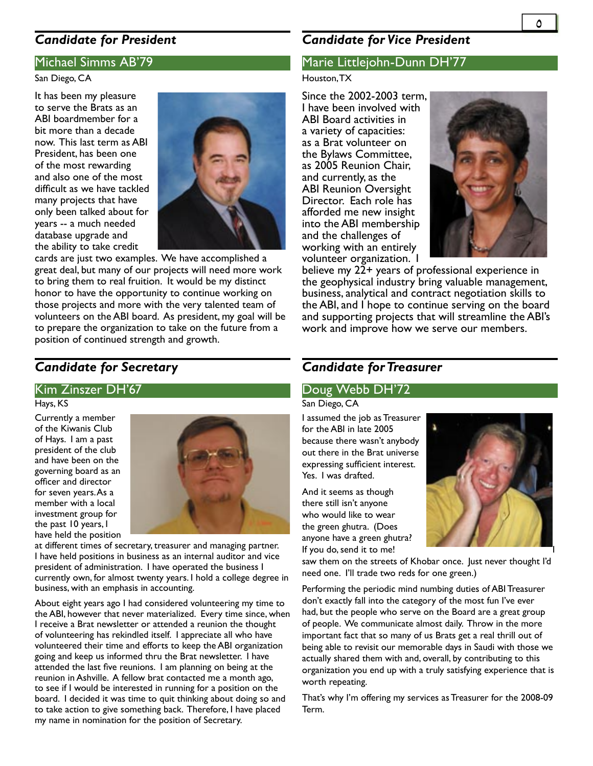## *Candidate for President*

#### Michael Simms AB'79

#### San Diego, CA

It has been my pleasure to serve the Brats as an ABI boardmember for a bit more than a decade now. This last term as ABI President, has been one of the most rewarding and also one of the most difficult as we have tackled many projects that have only been talked about for years -- a much needed database upgrade and the ability to take credit



cards are just two examples. We have accomplished a great deal, but many of our projects will need more work to bring them to real fruition. It would be my distinct honor to have the opportunity to continue working on those projects and more with the very talented team of volunteers on the ABI board. As president, my goal will be to prepare the organization to take on the future from a position of continued strength and growth.

## *Candidate for Secretary*

#### Kim Zinszer DH'67

#### Hays, KS

Currently a member of the Kiwanis Club of Hays. I am a past president of the club and have been on the governing board as an officer and director for seven years. As a member with a local investment group for the past 10 years, I have held the position



at different times of secretary, treasurer and managing partner. I have held positions in business as an internal auditor and vice president of administration. I have operated the business I currently own, for almost twenty years. I hold a college degree in business, with an emphasis in accounting.

About eight years ago I had considered volunteering my time to the ABI, however that never materialized. Every time since, when I receive a Brat newsletter or attended a reunion the thought of volunteering has rekindled itself. I appreciate all who have volunteered their time and efforts to keep the ABI organization going and keep us informed thru the Brat newsletter. I have attended the last five reunions. I am planning on being at the reunion in Ashville. A fellow brat contacted me a month ago, to see if I would be interested in running for a position on the board. I decided it was time to quit thinking about doing so and to take action to give something back. Therefore, I have placed my name in nomination for the position of Secretary.

### *Candidate for Vice President*

#### Marie Littlejohn-Dunn DH'77

#### Houston, TX

Since the 2002-2003 term, I have been involved with ABI Board activities in a variety of capacities: as a Brat volunteer on the Bylaws Committee, as 2005 Reunion Chair, and currently, as the ABI Reunion Oversight Director. Each role has afforded me new insight into the ABI membership and the challenges of working with an entirely volunteer organization. I



believe my 22+ years of professional experience in the geophysical industry bring valuable management, business, analytical and contract negotiation skills to the ABI, and I hope to continue serving on the board and supporting projects that will streamline the ABI's work and improve how we serve our members.

## *Candidate for Treasurer*

#### Doug Webb DH'72

San Diego, CA

I assumed the job as Treasurer for the ABI in late 2005 because there wasn't anybody out there in the Brat universe expressing sufficient interest. Yes. I was drafted.

And it seems as though there still isn't anyone who would like to wear the green ghutra. (Does anyone have a green ghutra? If you do, send it to me!



saw them on the streets of Khobar once. Just never thought I'd need one. I'll trade two reds for one green.)

Performing the periodic mind numbing duties of ABI Treasurer don't exactly fall into the category of the most fun I've ever had, but the people who serve on the Board are a great group of people. We communicate almost daily. Throw in the more important fact that so many of us Brats get a real thrill out of being able to revisit our memorable days in Saudi with those we actually shared them with and, overall, by contributing to this organization you end up with a truly satisfying experience that is worth repeating.

That's why I'm offering my services as Treasurer for the 2008-09 Term.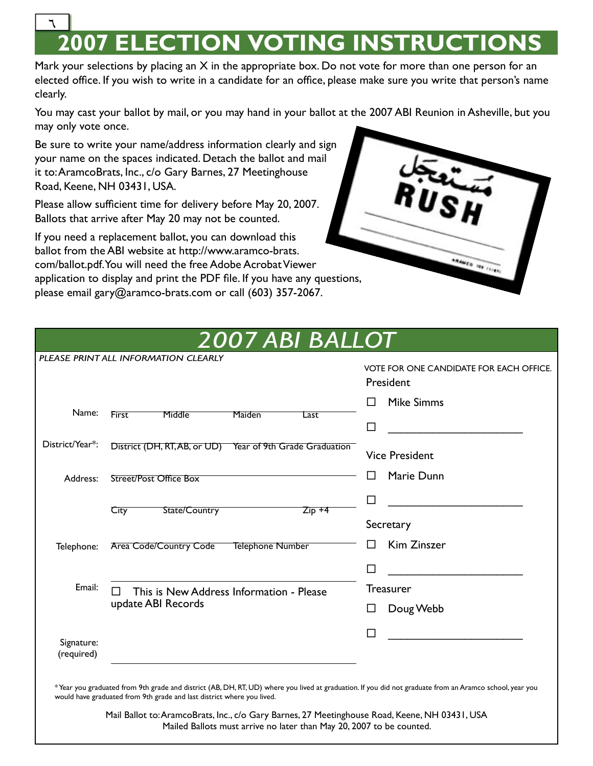## **2007 ELECTION VOTING INSTRUCTION**  $\overline{\phantom{a}}$

Mark your selections by placing an  $X$  in the appropriate box. Do not vote for more than one person for an elected office. If you wish to write in a candidate for an office, please make sure you write that person's name clearly.

You may cast your ballot by mail, or you may hand in your ballot at the 2007 ABI Reunion in Asheville, but you may only vote once.

Be sure to write your name/address information clearly and sign your name on the spaces indicated. Detach the ballot and mail it to:AramcoBrats, Inc., c/o Gary Barnes, 27 Meetinghouse Road, Keene, NH 03431, USA.

Please allow sufficient time for delivery before May 20, 2007. Ballots that arrive after May 20 may not be counted.

If you need a replacement ballot, you can download this ballot from the ABI website at http://www.aramco-brats. com/ballot.pdf. You will need the free Adobe Acrobat Viewer application to display and print the PDF file. If you have any questions, please email gary@aramco-brats.com or call (603) 357-2067.



|                          | 2007 ABI BALLOT                                           |                                                |
|--------------------------|-----------------------------------------------------------|------------------------------------------------|
|                          | PLEASE PRINT ALL INFORMATION CLEARLY                      | <b>VOTE FOR ONE CANDIDATE FOR EACH OFFICE.</b> |
|                          |                                                           | President                                      |
| Name:                    | <b>First</b><br>Middle<br>Maiden<br>Last                  | <b>Mike Simms</b><br>ΙI                        |
|                          |                                                           | $\Box$                                         |
| District/Year*:          | District (DH, RT, AB, or UD) Year of 9th Grade Graduation | <b>Vice President</b>                          |
| Address:                 | <b>Street/Post Office Box</b>                             | Marie Dunn<br>H                                |
|                          | State/Country<br>$Zip + 4$<br>City                        | □                                              |
|                          |                                                           | Secretary                                      |
| Telephone:               | Area Code/Country Code<br><b>Telephone Number</b>         | Kim Zinszer<br>П                               |
|                          |                                                           | П                                              |
| Email:                   | This is New Address Information - Please<br>$\Box$        | <b>Treasurer</b>                               |
|                          | update ABI Records                                        | Doug Webb<br>$\mathsf{L}$                      |
| Signature:<br>(required) |                                                           | П                                              |
|                          |                                                           |                                                |

\* Year you graduated from 9th grade and district (AB, DH, RT, UD) where you lived at graduation. If you did not graduate from an Aramco school, year you would have graduated from 9th grade and last district where you lived.

> Mail Ballot to: AramcoBrats, Inc., c/o Gary Barnes, 27 Meetinghouse Road, Keene, NH 03431, USA Mailed Ballots must arrive no later than May 20, 2007 to be counted.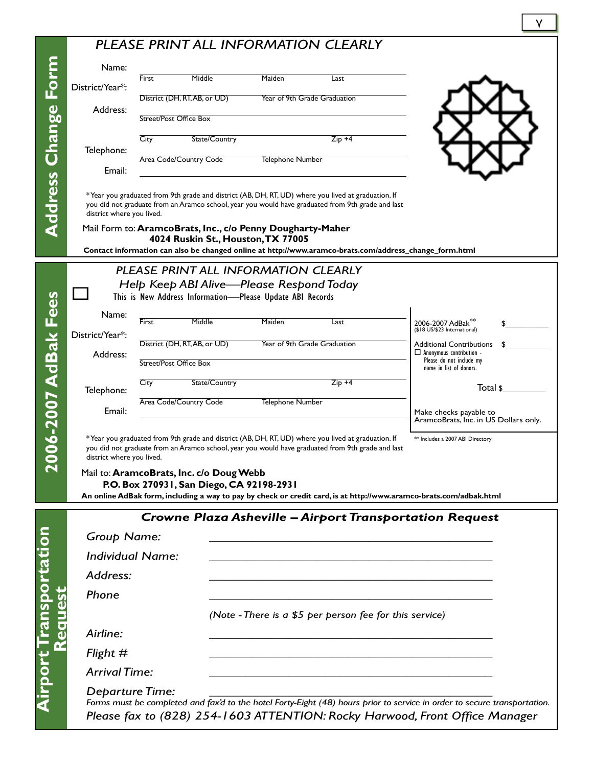## *PLEASE PRINT ALL INFORMATION CLEARLY*

|                            |                             |                        | I LLASL I ININ I ALL INI VIVIAI IVIN CLLAINLI                                                    |                  |                                                                                                                                                                                                         |                                                                                                                           |
|----------------------------|-----------------------------|------------------------|--------------------------------------------------------------------------------------------------|------------------|---------------------------------------------------------------------------------------------------------------------------------------------------------------------------------------------------------|---------------------------------------------------------------------------------------------------------------------------|
|                            | Name:                       | <b>First</b>           | Middle                                                                                           | Maiden           | Last                                                                                                                                                                                                    |                                                                                                                           |
|                            | District/Year*:             |                        | District (DH, RT, AB, or UD)                                                                     |                  | Year of 9th Grade Graduation                                                                                                                                                                            |                                                                                                                           |
|                            | Address:                    | Street/Post Office Box |                                                                                                  |                  |                                                                                                                                                                                                         |                                                                                                                           |
|                            |                             | City                   | State/Country                                                                                    |                  | $Zip +4$                                                                                                                                                                                                |                                                                                                                           |
|                            | Telephone:                  |                        | Area Code/Country Code                                                                           | Telephone Number |                                                                                                                                                                                                         |                                                                                                                           |
|                            | Email:                      |                        |                                                                                                  |                  |                                                                                                                                                                                                         |                                                                                                                           |
| <b>Address Change Form</b> | district where you lived.   |                        |                                                                                                  |                  | *Year you graduated from 9th grade and district (AB, DH, RT, UD) where you lived at graduation. If<br>you did not graduate from an Aramco school, year you would have graduated from 9th grade and last |                                                                                                                           |
|                            |                             |                        | Mail Form to: AramcoBrats, Inc., c/o Penny Dougharty-Maher<br>4024 Ruskin St., Houston, TX 77005 |                  |                                                                                                                                                                                                         | Contact information can also be changed online at http://www.aramco-brats.com/address_change_form.html                    |
|                            |                             |                        | PLEASE PRINT ALL INFORMATION CLEARLY                                                             |                  |                                                                                                                                                                                                         |                                                                                                                           |
|                            |                             |                        | Help Keep ABI Alive-Please Respond Today                                                         |                  |                                                                                                                                                                                                         |                                                                                                                           |
|                            |                             |                        | This is New Address Information-Please Update ABI Records                                        |                  |                                                                                                                                                                                                         |                                                                                                                           |
|                            | Name:                       | <b>First</b>           | Middle                                                                                           | Maiden           | Last                                                                                                                                                                                                    | 2006-2007 AdBak <sup>3</sup><br>(\$18 US/\$23 International)                                                              |
|                            | District/Year*:<br>Address: |                        | District (DH, RT, AB, or UD)                                                                     |                  | Year of 9th Grade Graduation                                                                                                                                                                            | <b>Additional Contributions</b><br>$\Box$ Anonymous contribution -                                                        |
|                            |                             | Street/Post Office Box |                                                                                                  |                  |                                                                                                                                                                                                         | Please do not include my<br>name in list of donors.                                                                       |
|                            | Telephone:                  | City                   | State/Country                                                                                    |                  | $Zip +4$                                                                                                                                                                                                | Total \$                                                                                                                  |
|                            | Email:                      |                        | Area Code/Country Code                                                                           | Telephone Number |                                                                                                                                                                                                         | Make checks payable to                                                                                                    |
|                            |                             |                        |                                                                                                  |                  |                                                                                                                                                                                                         | AramcoBrats, Inc. in US Dollars only.                                                                                     |
| 2006-2007 AdBak Fees       | district where you lived.   |                        |                                                                                                  |                  | *Year you graduated from 9th grade and district (AB, DH, RT, UD) where you lived at graduation. If<br>you did not graduate from an Aramco school, year you would have graduated from 9th grade and last | ** Includes a 2007 ABI Directory                                                                                          |
|                            |                             |                        | Mail to: AramcoBrats, Inc. c/o Doug Webb<br>P.O. Box 270931, San Diego, CA 92198-2931            |                  |                                                                                                                                                                                                         |                                                                                                                           |
|                            |                             |                        |                                                                                                  |                  |                                                                                                                                                                                                         | An online AdBak form, including a way to pay by check or credit card, is at http://www.aramco-brats.com/adbak.html        |
|                            |                             |                        |                                                                                                  |                  |                                                                                                                                                                                                         | <b>Crowne Plaza Asheville - Airport Transportation Request</b>                                                            |
|                            | <b>Group Name:</b>          |                        |                                                                                                  |                  |                                                                                                                                                                                                         |                                                                                                                           |
|                            | <b>Individual Name:</b>     |                        |                                                                                                  |                  |                                                                                                                                                                                                         |                                                                                                                           |
|                            | Address:                    |                        |                                                                                                  |                  |                                                                                                                                                                                                         |                                                                                                                           |
|                            | Phone                       |                        |                                                                                                  |                  |                                                                                                                                                                                                         |                                                                                                                           |
|                            |                             |                        |                                                                                                  |                  | (Note - There is a \$5 per person fee for this service)                                                                                                                                                 |                                                                                                                           |
| Regues                     | Airline:                    |                        |                                                                                                  |                  |                                                                                                                                                                                                         |                                                                                                                           |
|                            | Flight $#$                  |                        |                                                                                                  |                  |                                                                                                                                                                                                         |                                                                                                                           |
|                            | <b>Arrival Time:</b>        |                        |                                                                                                  |                  |                                                                                                                                                                                                         |                                                                                                                           |
|                            | <b>Departure Time:</b>      |                        |                                                                                                  |                  |                                                                                                                                                                                                         | Forms must be completed and fax'd to the hotel Forty-Eight (48) hours prior to service in order to secure transportation. |
|                            |                             |                        |                                                                                                  |                  |                                                                                                                                                                                                         | Please fax to (828) 254-1603 ATTENTION: Rocky Harwood, Front Office Manager                                               |